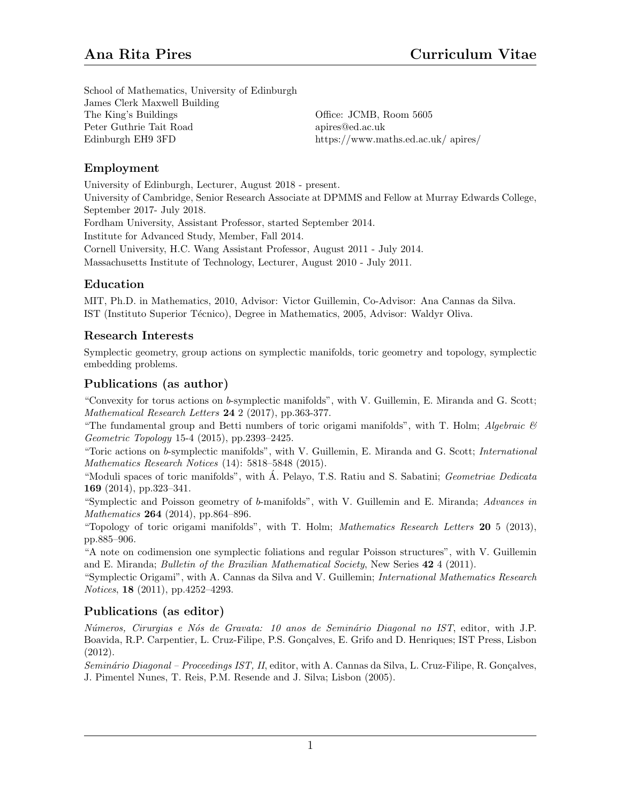School of Mathematics, University of Edinburgh James Clerk Maxwell Building The King's Buildings Peter Guthrie Tait Road Edinburgh EH9 3FD

Office: JCMB, Room 5605 apires@ed.ac.uk https://www.maths.ed.ac.uk/ apires/

## Employment

University of Edinburgh, Lecturer, August 2018 - present. University of Cambridge, Senior Research Associate at DPMMS and Fellow at Murray Edwards College, September 2017- July 2018. Fordham University, Assistant Professor, started September 2014. Institute for Advanced Study, Member, Fall 2014. Cornell University, H.C. Wang Assistant Professor, August 2011 - July 2014. Massachusetts Institute of Technology, Lecturer, August 2010 - July 2011.

## Education

MIT, Ph.D. in Mathematics, 2010, Advisor: Victor Guillemin, Co-Advisor: Ana Cannas da Silva. IST (Instituto Superior T´ecnico), Degree in Mathematics, 2005, Advisor: Waldyr Oliva.

### Research Interests

Symplectic geometry, group actions on symplectic manifolds, toric geometry and topology, symplectic embedding problems.

### Publications (as author)

"Convexity for torus actions on b-symplectic manifolds", with V. Guillemin, E. Miranda and G. Scott; Mathematical Research Letters 24 2 (2017), pp.363-377.

"The fundamental group and Betti numbers of toric origami manifolds", with T. Holm; Algebraic  $\mathcal{C}$ Geometric Topology 15-4 (2015), pp.2393–2425.

"Toric actions on b-symplectic manifolds", with V. Guillemin, E. Miranda and G. Scott; International Mathematics Research Notices (14): 5818–5848 (2015).

"Moduli spaces of toric manifolds", with  $\dot{A}$ . Pelayo, T.S. Ratiu and S. Sabatini; *Geometriae Dedicata* 169 (2014), pp.323–341.

"Symplectic and Poisson geometry of b-manifolds", with V. Guillemin and E. Miranda; Advances in Mathematics **264** (2014), pp.864–896.

"Topology of toric origami manifolds", with T. Holm; Mathematics Research Letters  $20\,5\,$  (2013), pp.885–906.

"A note on codimension one symplectic foliations and regular Poisson structures", with V. Guillemin and E. Miranda; *Bulletin of the Brazilian Mathematical Society*, New Series 42 4 (2011).

"Symplectic Origami", with A. Cannas da Silva and V. Guillemin; International Mathematics Research Notices, 18 (2011), pp.4252–4293.

# Publications (as editor)

Números, Cirurgias e Nós de Gravata: 10 anos de Seminário Diagonal no IST, editor, with J.P. Boavida, R.P. Carpentier, L. Cruz-Filipe, P.S. Gonçalves, E. Grifo and D. Henriques; IST Press, Lisbon (2012).

Seminário Diagonal – Proceedings IST, II, editor, with A. Cannas da Silva, L. Cruz-Filipe, R. Goncalves, J. Pimentel Nunes, T. Reis, P.M. Resende and J. Silva; Lisbon (2005).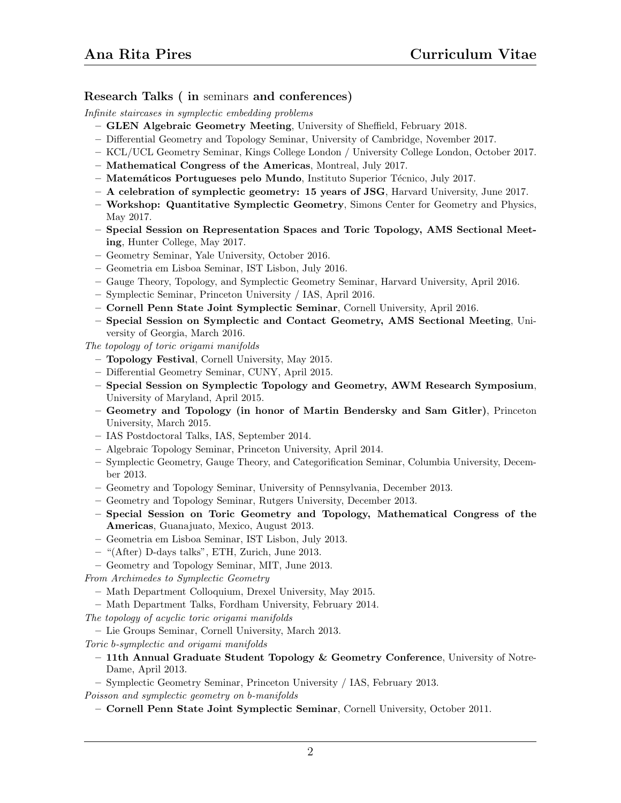### Research Talks ( in seminars and conferences)

Infinite staircases in symplectic embedding problems

- GLEN Algebraic Geometry Meeting, University of Sheffield, February 2018.
- Differential Geometry and Topology Seminar, University of Cambridge, November 2017.
- KCL/UCL Geometry Seminar, Kings College London / University College London, October 2017.
- Mathematical Congress of the Americas, Montreal, July 2017.
- Matem´aticos Portugueses pelo Mundo, Instituto Superior T´ecnico, July 2017.
- A celebration of symplectic geometry: 15 years of JSG, Harvard University, June 2017.
- Workshop: Quantitative Symplectic Geometry, Simons Center for Geometry and Physics, May 2017.
- Special Session on Representation Spaces and Toric Topology, AMS Sectional Meeting, Hunter College, May 2017.
- Geometry Seminar, Yale University, October 2016.
- Geometria em Lisboa Seminar, IST Lisbon, July 2016.
- Gauge Theory, Topology, and Symplectic Geometry Seminar, Harvard University, April 2016.
- Symplectic Seminar, Princeton University / IAS, April 2016.
- Cornell Penn State Joint Symplectic Seminar, Cornell University, April 2016.
- Special Session on Symplectic and Contact Geometry, AMS Sectional Meeting, University of Georgia, March 2016.

The topology of toric origami manifolds

- Topology Festival, Cornell University, May 2015.
- Differential Geometry Seminar, CUNY, April 2015.
- Special Session on Symplectic Topology and Geometry, AWM Research Symposium, University of Maryland, April 2015.
- Geometry and Topology (in honor of Martin Bendersky and Sam Gitler), Princeton University, March 2015.
- IAS Postdoctoral Talks, IAS, September 2014.
- Algebraic Topology Seminar, Princeton University, April 2014.
- Symplectic Geometry, Gauge Theory, and Categorification Seminar, Columbia University, December 2013.
- Geometry and Topology Seminar, University of Pennsylvania, December 2013.
- Geometry and Topology Seminar, Rutgers University, December 2013.
- Special Session on Toric Geometry and Topology, Mathematical Congress of the Americas, Guanajuato, Mexico, August 2013.
- Geometria em Lisboa Seminar, IST Lisbon, July 2013.
- "(After) D-days talks", ETH, Zurich, June 2013.
- Geometry and Topology Seminar, MIT, June 2013.

From Archimedes to Symplectic Geometry

- Math Department Colloquium, Drexel University, May 2015.
- Math Department Talks, Fordham University, February 2014.
- The topology of acyclic toric origami manifolds
- Lie Groups Seminar, Cornell University, March 2013.
- Toric b-symplectic and origami manifolds
	- 11th Annual Graduate Student Topology & Geometry Conference, University of Notre-Dame, April 2013.
- Symplectic Geometry Seminar, Princeton University / IAS, February 2013. Poisson and symplectic geometry on b-manifolds
	- Cornell Penn State Joint Symplectic Seminar, Cornell University, October 2011.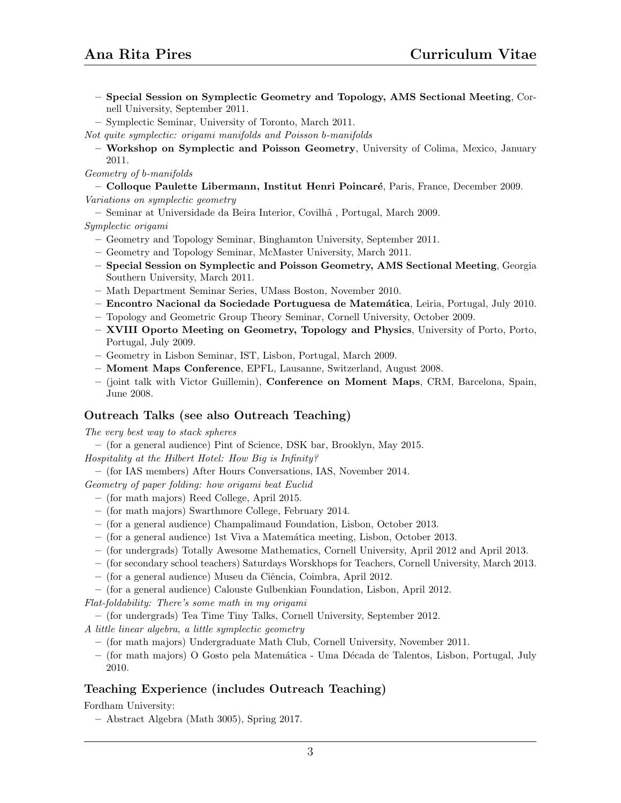- Special Session on Symplectic Geometry and Topology, AMS Sectional Meeting, Cornell University, September 2011.
- Symplectic Seminar, University of Toronto, March 2011.
- Not quite symplectic: origami manifolds and Poisson b-manifolds
	- Workshop on Symplectic and Poisson Geometry, University of Colima, Mexico, January 2011.
- Geometry of b-manifolds
- Colloque Paulette Libermann, Institut Henri Poincar´e, Paris, France, December 2009. Variations on symplectic geometry
- Seminar at Universidade da Beira Interior, Covilh˜a , Portugal, March 2009.

#### Symplectic origami

- Geometry and Topology Seminar, Binghamton University, September 2011.
- Geometry and Topology Seminar, McMaster University, March 2011.
- Special Session on Symplectic and Poisson Geometry, AMS Sectional Meeting, Georgia Southern University, March 2011.
- Math Department Seminar Series, UMass Boston, November 2010.
- Encontro Nacional da Sociedade Portuguesa de Matem´atica, Leiria, Portugal, July 2010.
- Topology and Geometric Group Theory Seminar, Cornell University, October 2009.
- XVIII Oporto Meeting on Geometry, Topology and Physics, University of Porto, Porto, Portugal, July 2009.
- Geometry in Lisbon Seminar, IST, Lisbon, Portugal, March 2009.
- Moment Maps Conference, EPFL, Lausanne, Switzerland, August 2008.
- (joint talk with Victor Guillemin), Conference on Moment Maps, CRM, Barcelona, Spain, June 2008.

## Outreach Talks (see also Outreach Teaching)

The very best way to stack spheres

– (for a general audience) Pint of Science, DSK bar, Brooklyn, May 2015.

Hospitality at the Hilbert Hotel: How Big is Infinity?

- (for IAS members) After Hours Conversations, IAS, November 2014.
- Geometry of paper folding: how origami beat Euclid
	- (for math majors) Reed College, April 2015.
	- (for math majors) Swarthmore College, February 2014.
	- (for a general audience) Champalimaud Foundation, Lisbon, October 2013.
	- $-$  (for a general audience) 1st Viva a Matemática meeting, Lisbon, October 2013.
	- (for undergrads) Totally Awesome Mathematics, Cornell University, April 2012 and April 2013.
	- (for secondary school teachers) Saturdays Worskhops for Teachers, Cornell University, March 2013.
	- (for a general audience) Museu da Ciˆencia, Coimbra, April 2012.
	- (for a general audience) Calouste Gulbenkian Foundation, Lisbon, April 2012.
- Flat-foldability: There's some math in my origami
- (for undergrads) Tea Time Tiny Talks, Cornell University, September 2012.
- A little linear algebra, a little symplectic geometry
	- (for math majors) Undergraduate Math Club, Cornell University, November 2011.
	- (for math majors) O Gosto pela Matem´atica Uma D´ecada de Talentos, Lisbon, Portugal, July 2010.

# Teaching Experience (includes Outreach Teaching)

Fordham University:

– Abstract Algebra (Math 3005), Spring 2017.